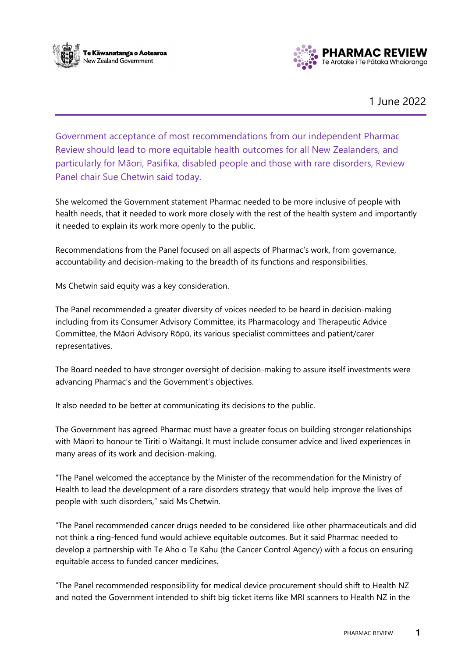



1 June 2022

Government acceptance of most recommendations from our independent Pharmac Review should lead to more equitable health outcomes for all New Zealanders, and particularly for Māori, Pasifika, disabled people and those with rare disorders, Review Panel chair Sue Chetwin said today.

She welcomed the Government statement Pharmac needed to be more inclusive of people with health needs, that it needed to work more closely with the rest of the health system and importantly it needed to explain its work more openly to the public.

Recommendations from the Panel focused on all aspects of Pharmac's work, from governance, accountability and decision-making to the breadth of its functions and responsibilities.

Ms Chetwin said equity was a key consideration.

The Panel recommended a greater diversity of voices needed to be heard in decision-making including from its Consumer Advisory Committee, its Pharmacology and Therapeutic Advice Committee, the Māori Advisory Rōpū, its various specialist committees and patient/carer representatives.

The Board needed to have stronger oversight of decision-making to assure itself investments were advancing Pharmac's and the Government's objectives.

It also needed to be better at communicating its decisions to the public.

The Government has agreed Pharmac must have a greater focus on building stronger relationships with Māori to honour te Tiriti o Waitangi. It must include consumer advice and lived experiences in many areas of its work and decision-making.

"The Panel welcomed the acceptance by the Minister of the recommendation for the Ministry of Health to lead the development of a rare disorders strategy that would help improve the lives of people with such disorders," said Ms Chetwin.

"The Panel recommended cancer drugs needed to be considered like other pharmaceuticals and did not think a ring-fenced fund would achieve equitable outcomes. But it said Pharmac needed to develop a partnership with Te Aho o Te Kahu (the Cancer Control Agency) with a focus on ensuring equitable access to funded cancer medicines.

"The Panel recommended responsibility for medical device procurement should shift to Health NZ and noted the Government intended to shift big ticket items like MRI scanners to Health NZ in the